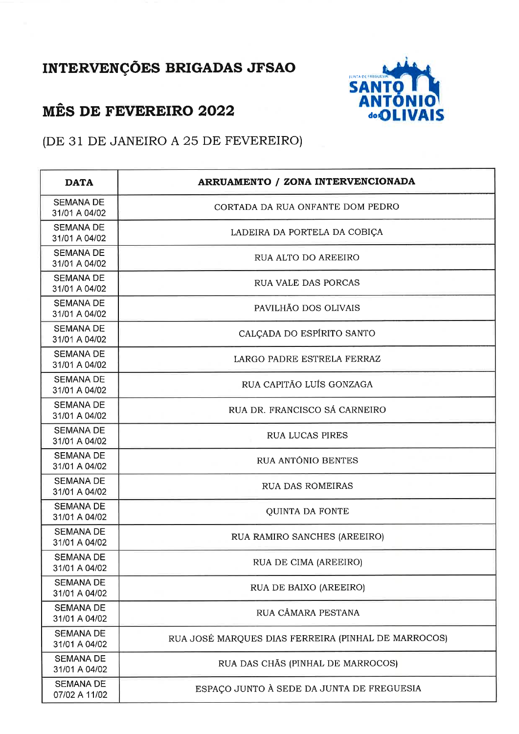## INTERVENÇÕES BRIGADAS JFSAO

## **MÊS DE FEVEREIRO 2022**



(DE 31 DE JANEIRO A 25 DE FEVEREIRO)

| <b>DATA</b>                       | <b>ARRUAMENTO / ZONA INTERVENCIONADA</b>            |
|-----------------------------------|-----------------------------------------------------|
| <b>SEMANA DE</b><br>31/01 A 04/02 | CORTADA DA RUA ONFANTE DOM PEDRO                    |
| <b>SEMANA DE</b><br>31/01 A 04/02 | LADEIRA DA PORTELA DA COBIÇA                        |
| <b>SEMANA DE</b><br>31/01 A 04/02 | RUA ALTO DO AREEIRO                                 |
| <b>SEMANA DE</b><br>31/01 A 04/02 | <b>RUA VALE DAS PORCAS</b>                          |
| <b>SEMANA DE</b><br>31/01 A 04/02 | PAVILHÃO DOS OLIVAIS                                |
| <b>SEMANA DE</b><br>31/01 A 04/02 | CALÇADA DO ESPÍRITO SANTO                           |
| <b>SEMANA DE</b><br>31/01 A 04/02 | LARGO PADRE ESTRELA FERRAZ                          |
| <b>SEMANA DE</b><br>31/01 A 04/02 | RUA CAPITÃO LUÍS GONZAGA                            |
| <b>SEMANA DE</b><br>31/01 A 04/02 | RUA DR. FRANCISCO SÁ CARNEIRO                       |
| <b>SEMANA DE</b><br>31/01 A 04/02 | <b>RUA LUCAS PIRES</b>                              |
| <b>SEMANA DE</b><br>31/01 A 04/02 | RUA ANTÓNIO BENTES                                  |
| <b>SEMANA DE</b><br>31/01 A 04/02 | <b>RUA DAS ROMEIRAS</b>                             |
| <b>SEMANA DE</b><br>31/01 A 04/02 | <b>QUINTA DA FONTE</b>                              |
| <b>SEMANA DE</b><br>31/01 A 04/02 | RUA RAMIRO SANCHES (AREEIRO)                        |
| <b>SEMANA DE</b><br>31/01 A 04/02 | RUA DE CIMA (AREEIRO)                               |
| <b>SEMANA DE</b><br>31/01 A 04/02 | RUA DE BAIXO (AREEIRO)                              |
| <b>SEMANA DE</b><br>31/01 A 04/02 | RUA CÂMARA PESTANA                                  |
| <b>SEMANA DE</b><br>31/01 A 04/02 | RUA JOSÉ MARQUES DIAS FERREIRA (PINHAL DE MARROCOS) |
| <b>SEMANA DE</b><br>31/01 A 04/02 | RUA DAS CHÃS (PINHAL DE MARROCOS)                   |
| <b>SEMANA DE</b><br>07/02 A 11/02 | ESPAÇO JUNTO À SEDE DA JUNTA DE FREGUESIA           |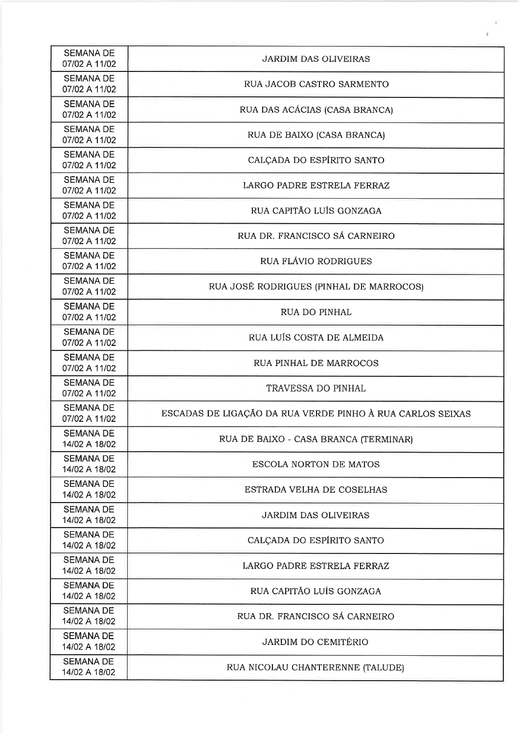| <b>SEMANA DE</b><br>07/02 A 11/02 | <b>JARDIM DAS OLIVEIRAS</b>                               |
|-----------------------------------|-----------------------------------------------------------|
| <b>SEMANA DE</b><br>07/02 A 11/02 | RUA JACOB CASTRO SARMENTO                                 |
| <b>SEMANA DE</b><br>07/02 A 11/02 | RUA DAS ACÁCIAS (CASA BRANCA)                             |
| <b>SEMANA DE</b><br>07/02 A 11/02 | RUA DE BAIXO (CASA BRANCA)                                |
| <b>SEMANA DE</b><br>07/02 A 11/02 | CALCADA DO ESPÍRITO SANTO                                 |
| <b>SEMANA DE</b><br>07/02 A 11/02 | LARGO PADRE ESTRELA FERRAZ                                |
| <b>SEMANA DE</b><br>07/02 A 11/02 | RUA CAPITÃO LUÍS GONZAGA                                  |
| <b>SEMANA DE</b><br>07/02 A 11/02 | RUA DR. FRANCISCO SÁ CARNEIRO                             |
| <b>SEMANA DE</b><br>07/02 A 11/02 | RUA FLÁVIO RODRIGUES                                      |
| <b>SEMANA DE</b><br>07/02 A 11/02 | RUA JOSÉ RODRIGUES (PINHAL DE MARROCOS)                   |
| <b>SEMANA DE</b><br>07/02 A 11/02 | RUA DO PINHAL                                             |
| <b>SEMANA DE</b><br>07/02 A 11/02 | RUA LUÍS COSTA DE ALMEIDA                                 |
| <b>SEMANA DE</b><br>07/02 A 11/02 | RUA PINHAL DE MARROCOS                                    |
| <b>SEMANA DE</b><br>07/02 A 11/02 | <b>TRAVESSA DO PINHAL</b>                                 |
| <b>SEMANA DE</b><br>07/02 A 11/02 | ESCADAS DE LIGAÇÃO DA RUA VERDE PINHO À RUA CARLOS SEIXAS |
| <b>SEMANA DE</b><br>14/02 A 18/02 | RUA DE BAIXO - CASA BRANCA (TERMINAR)                     |
| <b>SEMANA DE</b><br>14/02 A 18/02 | <b>ESCOLA NORTON DE MATOS</b>                             |
| <b>SEMANA DE</b><br>14/02 A 18/02 | ESTRADA VELHA DE COSELHAS                                 |
| <b>SEMANA DE</b><br>14/02 A 18/02 | <b>JARDIM DAS OLIVEIRAS</b>                               |
| <b>SEMANA DE</b><br>14/02 A 18/02 | CALCADA DO ESPÍRITO SANTO                                 |
| <b>SEMANA DE</b><br>14/02 A 18/02 | LARGO PADRE ESTRELA FERRAZ                                |
| <b>SEMANA DE</b><br>14/02 A 18/02 | RUA CAPITÃO LUÍS GONZAGA                                  |
| <b>SEMANA DE</b><br>14/02 A 18/02 | RUA DR. FRANCISCO SÁ CARNEIRO                             |
| <b>SEMANA DE</b><br>14/02 A 18/02 | <b>JARDIM DO CEMITÉRIO</b>                                |
| <b>SEMANA DE</b><br>14/02 A 18/02 | RUA NICOLAU CHANTERENNE (TALUDE)                          |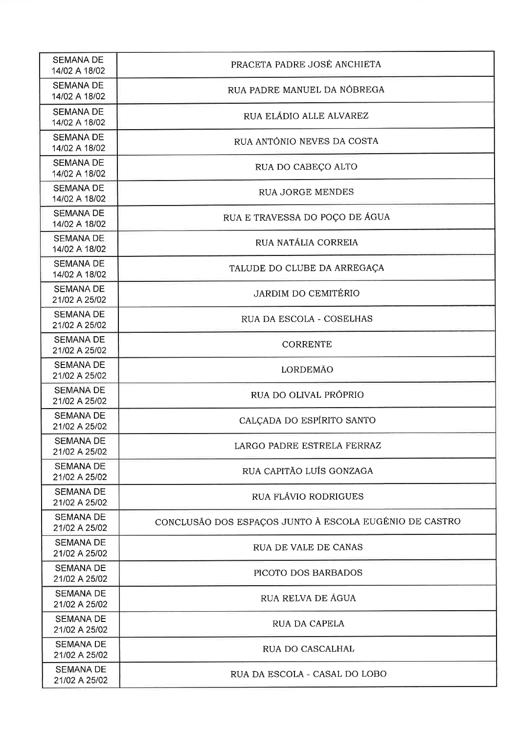| <b>SEMANA DE</b><br>14/02 A 18/02 | PRACETA PADRE JOSÉ ANCHIETA                            |
|-----------------------------------|--------------------------------------------------------|
| <b>SEMANA DE</b><br>14/02 A 18/02 | RUA PADRE MANUEL DA NÓBREGA                            |
| <b>SEMANA DE</b><br>14/02 A 18/02 | RUA ELÁDIO ALLE ALVAREZ                                |
| <b>SEMANA DE</b><br>14/02 A 18/02 | RUA ANTÓNIO NEVES DA COSTA                             |
| <b>SEMANA DE</b><br>14/02 A 18/02 | RUA DO CABEÇO ALTO                                     |
| <b>SEMANA DE</b><br>14/02 A 18/02 | <b>RUA JORGE MENDES</b>                                |
| <b>SEMANA DE</b><br>14/02 A 18/02 | RUA E TRAVESSA DO POÇO DE ÁGUA                         |
| <b>SEMANA DE</b><br>14/02 A 18/02 | RUA NATÁLIA CORREIA                                    |
| <b>SEMANA DE</b><br>14/02 A 18/02 | TALUDE DO CLUBE DA ARREGAÇA                            |
| <b>SEMANA DE</b><br>21/02 A 25/02 | <b>JARDIM DO CEMITÉRIO</b>                             |
| <b>SEMANA DE</b><br>21/02 A 25/02 | RUA DA ESCOLA - COSELHAS                               |
| <b>SEMANA DE</b><br>21/02 A 25/02 | <b>CORRENTE</b>                                        |
| <b>SEMANA DE</b><br>21/02 A 25/02 | <b>LORDEMÃO</b>                                        |
| <b>SEMANA DE</b><br>21/02 A 25/02 | RUA DO OLIVAL PRÓPRIO                                  |
| <b>SEMANA DE</b><br>21/02 A 25/02 | CALÇADA DO ESPÍRITO SANTO                              |
| SEMANA DE<br>21/02 A 25/02        | LARGO PADRE ESTRELA FERRAZ                             |
| <b>SEMANA DE</b><br>21/02 A 25/02 | RUA CAPITÃO LUÍS GONZAGA                               |
| <b>SEMANA DE</b><br>21/02 A 25/02 | RUA FLÁVIO RODRIGUES                                   |
| <b>SEMANA DE</b><br>21/02 A 25/02 | CONCLUSÃO DOS ESPAÇOS JUNTO À ESCOLA EUGÉNIO DE CASTRO |
| <b>SEMANA DE</b><br>21/02 A 25/02 | RUA DE VALE DE CANAS                                   |
| <b>SEMANA DE</b><br>21/02 A 25/02 | PICOTO DOS BARBADOS                                    |
| <b>SEMANA DE</b><br>21/02 A 25/02 | RUA RELVA DE ÁGUA                                      |
| <b>SEMANA DE</b><br>21/02 A 25/02 | RUA DA CAPELA                                          |
| <b>SEMANA DE</b><br>21/02 A 25/02 | RUA DO CASCALHAL                                       |
| <b>SEMANA DE</b><br>21/02 A 25/02 | RUA DA ESCOLA - CASAL DO LOBO                          |